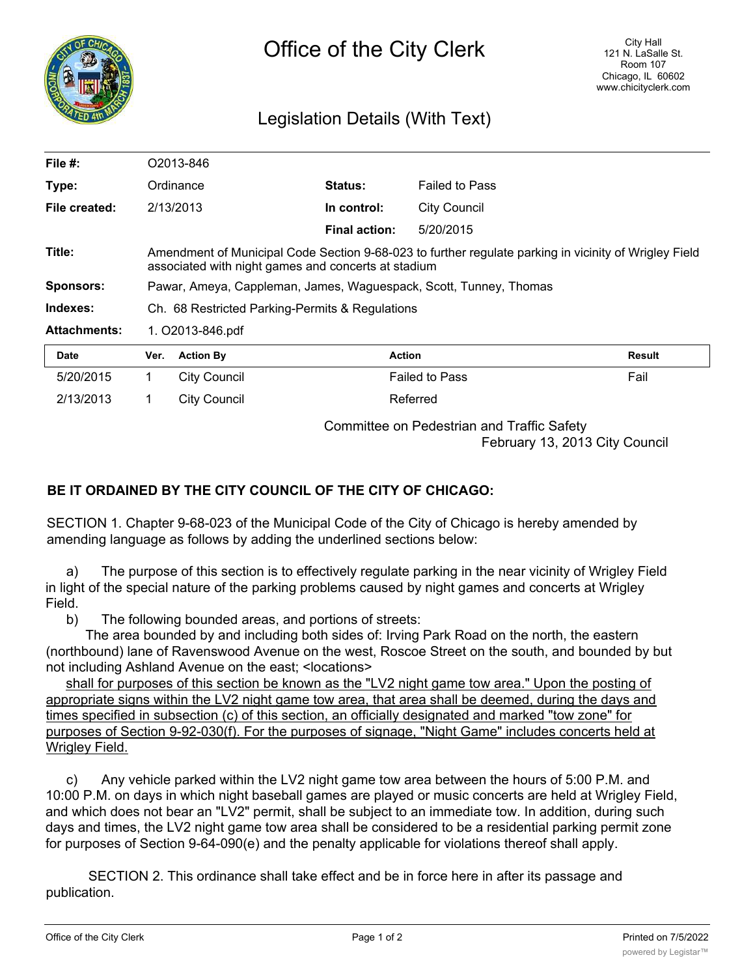

## Legislation Details (With Text)

| File $#$ :          | O2013-846        |                                                                                                                                                              |                      |                       |        |  |
|---------------------|------------------|--------------------------------------------------------------------------------------------------------------------------------------------------------------|----------------------|-----------------------|--------|--|
| Type:               |                  | Ordinance                                                                                                                                                    | <b>Status:</b>       | <b>Failed to Pass</b> |        |  |
| File created:       |                  | 2/13/2013                                                                                                                                                    | In control:          | <b>City Council</b>   |        |  |
|                     |                  |                                                                                                                                                              | <b>Final action:</b> | 5/20/2015             |        |  |
| Title:              |                  | Amendment of Municipal Code Section 9-68-023 to further regulate parking in vicinity of Wrigley Field<br>associated with night games and concerts at stadium |                      |                       |        |  |
| <b>Sponsors:</b>    |                  | Pawar, Ameya, Cappleman, James, Waguespack, Scott, Tunney, Thomas                                                                                            |                      |                       |        |  |
| Indexes:            |                  | Ch. 68 Restricted Parking-Permits & Regulations                                                                                                              |                      |                       |        |  |
| <b>Attachments:</b> | 1. O2013-846.pdf |                                                                                                                                                              |                      |                       |        |  |
| <b>Date</b>         | Ver.             | <b>Action By</b>                                                                                                                                             | <b>Action</b>        |                       | Result |  |
| 5/20/2015           | 1                | <b>City Council</b>                                                                                                                                          |                      | <b>Failed to Pass</b> | Fail   |  |
| 2/13/2013           | 1                | City Council                                                                                                                                                 |                      | Referred              |        |  |

Committee on Pedestrian and Traffic Safety

February 13, 2013 City Council

## **BE IT ORDAINED BY THE CITY COUNCIL OF THE CITY OF CHICAGO:**

SECTION 1. Chapter 9-68-023 of the Municipal Code of the City of Chicago is hereby amended by amending language as follows by adding the underlined sections below:

a) The purpose of this section is to effectively regulate parking in the near vicinity of Wrigley Field in light of the special nature of the parking problems caused by night games and concerts at Wrigley Field.

b) The following bounded areas, and portions of streets:

The area bounded by and including both sides of: Irving Park Road on the north, the eastern (northbound) lane of Ravenswood Avenue on the west, Roscoe Street on the south, and bounded by but not including Ashland Avenue on the east; <locations>

shall for purposes of this section be known as the "LV2 night game tow area." Upon the posting of appropriate signs within the LV2 night game tow area, that area shall be deemed, during the days and times specified in subsection (c) of this section, an officially designated and marked "tow zone" for purposes of Section 9-92-030(f). For the purposes of signage, "Night Game" includes concerts held at Wrigley Field.

c) Any vehicle parked within the LV2 night game tow area between the hours of 5:00 P.M. and 10:00 P.M. on days in which night baseball games are played or music concerts are held at Wrigley Field, and which does not bear an "LV2" permit, shall be subject to an immediate tow. In addition, during such days and times, the LV2 night game tow area shall be considered to be a residential parking permit zone for purposes of Section 9-64-090(e) and the penalty applicable for violations thereof shall apply.

SECTION 2. This ordinance shall take effect and be in force here in after its passage and publication.